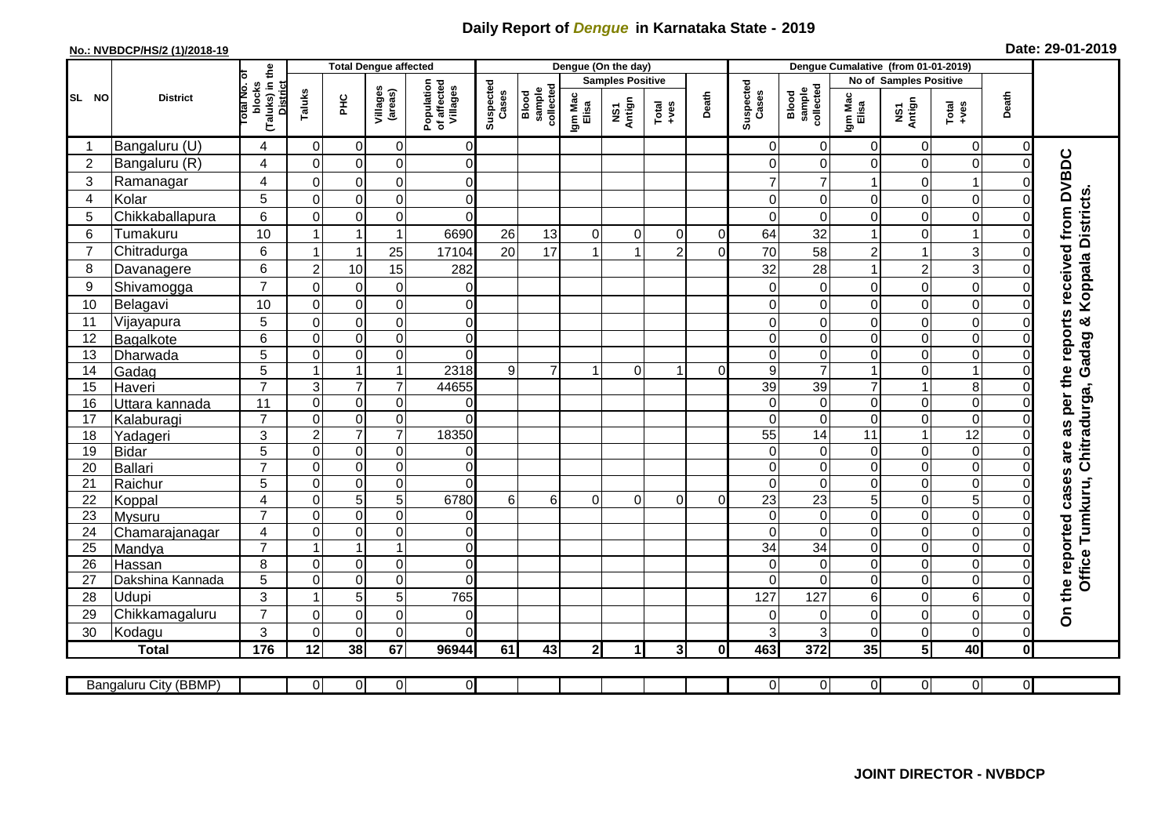## **Daily Report of** *Dengue* **in Karnataka State - 2019**

## **No.: NVBDCP/HS/2 (1)/2018-19 Date: 29-01-2019**

|                | <b>District</b>       |                                                       | <b>Total Dengue affected</b> |                                    |                                       |                            |                              |                  |                         | Dengue (On the day) |                |                    |                                     |                             |                        |                  |                                  |                         |                                                                  |
|----------------|-----------------------|-------------------------------------------------------|------------------------------|------------------------------------|---------------------------------------|----------------------------|------------------------------|------------------|-------------------------|---------------------|----------------|--------------------|-------------------------------------|-----------------------------|------------------------|------------------|----------------------------------|-------------------------|------------------------------------------------------------------|
| SL NO          |                       |                                                       |                              |                                    |                                       |                            |                              |                  | <b>Samples Positive</b> |                     |                |                    |                                     |                             | No of Samples Positive |                  |                                  |                         |                                                                  |
|                |                       | (Taluks) in the<br>District<br>lotal No. of<br>blocks |                              | Villages<br>(areas)<br>Taluks<br>꾿 | Population<br>of affected<br>Villages | Suspected<br>Cases         | sample<br>collected<br>Blood | Igm Mac<br>Elisa | NS1<br>Antign           | $Total$             | Death          | Suspected<br>Cases | collected<br><b>Blood</b><br>sample | Igm Mac<br>Elisa            | NS1<br>Antign          | $Tota$<br>$+ves$ | Death                            |                         |                                                                  |
|                | Bangaluru (U)         | $\overline{4}$                                        | 0                            | $\mathbf 0$                        | 0                                     | 0                          |                              |                  |                         |                     |                |                    | $\Omega$                            | $\overline{0}$              | $\overline{0}$         | 0                | $\overline{0}$                   | 0                       |                                                                  |
| $\overline{2}$ | Bangaluru (R)         | $\overline{4}$                                        | $\overline{0}$               | $\mathbf 0$                        | $\mathbf 0$                           | $\overline{0}$             |                              |                  |                         |                     |                |                    | $\Omega$                            | $\mathbf 0$                 | $\Omega$               | 0                | $\mathsf{O}\xspace$              | $\overline{0}$          |                                                                  |
| $\sqrt{3}$     | Ramanagar             | 4                                                     | $\mathbf 0$                  | $\pmb{0}$                          | 0                                     | $\overline{0}$             |                              |                  |                         |                     |                |                    |                                     | 7                           |                        | 0                | $\mathbf{1}$                     | $\Omega$                |                                                                  |
| 4              | Kolar                 | 5                                                     | $\mathbf 0$                  | $\mathbf 0$                        | $\overline{0}$                        | $\Omega$                   |                              |                  |                         |                     |                |                    | $\Omega$                            | $\Omega$                    | $\Omega$               | 0                | $\mathbf 0$                      | $\Omega$                |                                                                  |
| 5              | Chikkaballapura       | $\,6$                                                 | $\mathbf 0$                  | $\boldsymbol{0}$                   | $\mathbf 0$                           | $\Omega$                   |                              |                  |                         |                     |                |                    | $\Omega$                            | $\mathbf 0$                 | 0                      | 0                | $\overline{0}$                   | $\Omega$                |                                                                  |
| 6              | Tumakuru              | 10                                                    |                              |                                    | 1                                     | 6690                       | 26                           | 13               | $\mathbf 0$             | 0                   | $\Omega$       | $\mathbf 0$        | 64                                  | 32                          |                        | 0                | $\mathbf{1}$                     | $\mathbf 0$             |                                                                  |
| $\overline{7}$ | Chitradurga           | 6                                                     |                              |                                    | 25                                    | 17104                      | 20                           | 17               |                         |                     | $\mathfrak{p}$ | $\Omega$           | 70                                  | 58                          | $\overline{c}$         | 1                | $\mathbf{3}$                     | $\Omega$                |                                                                  |
| 8              | Davanagere            | 6                                                     | $\overline{2}$               | 10                                 | 15                                    | 282                        |                              |                  |                         |                     |                |                    | 32                                  | 28                          | $\mathbf{1}$           | $\overline{c}$   | 3                                | $\Omega$                |                                                                  |
| 9              | Shivamogga            | $\overline{7}$                                        | $\mathbf{0}$                 | $\mathbf 0$                        | $\mathbf 0$                           | $\mathbf 0$                |                              |                  |                         |                     |                |                    | $\Omega$                            | $\mathbf 0$                 | $\Omega$               | 0                | $\mathbf 0$                      | $\Omega$                | Koppala Districts                                                |
| 10             | Belagavi              | 10                                                    | $\mathbf 0$                  | $\pmb{0}$                          | $\mathsf 0$                           | $\overline{0}$             |                              |                  |                         |                     |                |                    | 0                                   | $\Omega$                    | 0                      | 0                | $\mathsf{O}\xspace$              | $\Omega$                |                                                                  |
| 11             | Vijayapura            | 5                                                     | $\mathbf 0$                  | $\pmb{0}$                          | $\mathbf 0$                           | $\Omega$                   |                              |                  |                         |                     |                |                    | $\Omega$                            | $\mathbf 0$                 | $\Omega$               | $\mathbf 0$      | $\mathbf 0$                      | $\Omega$                | ಜ                                                                |
| 12             | Bagalkote             | 6                                                     | $\mathbf{0}$                 | $\mathbf 0$                        | $\overline{0}$                        | $\overline{0}$             |                              |                  |                         |                     |                |                    | $\Omega$                            | $\mathbf 0$                 | $\Omega$               | $\mathbf 0$      | $\overline{0}$                   | $\Omega$                | Gadag                                                            |
| 13             | Dharwada              | 5                                                     | $\mathbf 0$                  | $\overline{0}$                     | $\mathsf 0$                           | $\Omega$                   |                              |                  |                         |                     |                |                    | $\Omega$                            | $\overline{0}$              | 0                      | $\boldsymbol{0}$ | $\overline{0}$                   | $\Omega$                |                                                                  |
| 14             | Gadag                 | $\overline{5}$                                        |                              | $\overline{1}$                     | $\mathbf{1}$                          | 2318                       | 9                            | $\overline{7}$   |                         | $\Omega$            | 1              | $\Omega$           | 9                                   | $\overline{7}$              |                        | 0                | $\overline{1}$                   | $\mathbf 0$             |                                                                  |
| 15             | Haveri                | $\overline{7}$                                        | 3                            | $\overline{7}$                     | $\overline{7}$                        | 44655                      |                              |                  |                         |                     |                |                    | 39                                  | 39                          | $\overline{7}$         | $\mathbf{1}$     | $\bf 8$                          | $\Omega$                |                                                                  |
| 16             | Uttara kannada        | $\overline{11}$                                       | $\mathbf 0$                  | $\mathbf 0$                        | 0                                     | $\mathbf 0$                |                              |                  |                         |                     |                |                    | $\Omega$                            | $\mathbf 0$                 | 0                      | 0                | $\overline{0}$                   | $\mathbf 0$             | Office Tumkuru, Chitradurga,                                     |
| 17             | Kalaburagi            | $\overline{7}$                                        | $\mathbf 0$                  | $\mathbf 0$                        | $\overline{0}$                        | $\overline{0}$             |                              |                  |                         |                     |                |                    | $\Omega$                            | $\mathbf 0$                 | 0                      | 0                | $\overline{0}$                   | $\overline{0}$          |                                                                  |
| 18             | Yadageri              | 3                                                     | $\overline{c}$               | $\overline{7}$                     | $\overline{7}$                        | 18350                      |                              |                  |                         |                     |                |                    | 55                                  | 14                          | 11                     | $\mathbf{1}$     | $\overline{12}$                  | $\Omega$                |                                                                  |
| 19             | Bidar                 | 5                                                     | $\mathbf 0$                  | $\pmb{0}$                          | $\mathsf 0$                           | $\overline{0}$             |                              |                  |                         |                     |                |                    | $\Omega$                            | $\mathbf 0$                 | 0                      | 0                | $\overline{\mathsf{o}}$          | $\mathbf 0$             |                                                                  |
| 20             | Ballari               | $\overline{7}$                                        | $\mathbf 0$                  | $\pmb{0}$                          | 0                                     | $\overline{0}$             |                              |                  |                         |                     |                |                    | $\Omega$                            | $\mathbf 0$                 | 0                      | 0                | $\overline{\mathsf{o}}$          | $\Omega$                |                                                                  |
| 21             | Raichur               | 5                                                     | $\Omega$                     | $\pmb{0}$                          | $\mathsf 0$                           | $\Omega$                   |                              |                  |                         |                     |                |                    | $\Omega$                            | $\Omega$                    | 0                      | 0                | $\overline{0}$                   | $\Omega$                |                                                                  |
| 22             | Koppal                | 4                                                     | $\mathbf 0$                  | $\overline{5}$                     | $\overline{5}$                        | 6780                       | 6                            | 6                | $\Omega$                | $\Omega$            | $\Omega$       | $\overline{0}$     | $\overline{23}$                     | $\overline{23}$             | 5                      | 0                | $\overline{5}$                   | $\Omega$                |                                                                  |
| 23             | Mysuru                | $\overline{7}$                                        | $\Omega$                     | $\mathbf 0$                        | $\mathbf 0$                           | $\overline{0}$             |                              |                  |                         |                     |                |                    | $\Omega$                            | $\overline{0}$              | $\mathbf 0$            | 0                | $\overline{0}$                   | $\mathbf 0$             |                                                                  |
| 24             | Chamarajanagar        | $\overline{4}$<br>$\overline{7}$                      | $\mathbf 0$                  | $\pmb{0}$                          | $\mathsf 0$<br>$\overline{1}$         | $\overline{0}$             |                              |                  |                         |                     |                |                    | $\Omega$                            | $\overline{0}$              | 0                      | 0                | $\overline{0}$                   | $\mathbf 0$             |                                                                  |
| 25             | Mandya                | 8                                                     | $\Omega$                     |                                    | $\mathbf 0$                           | $\Omega$<br>$\overline{0}$ |                              |                  |                         |                     |                |                    | 34<br>$\Omega$                      | $\overline{34}$<br>$\Omega$ | 0                      | 0<br>0           | $\overline{0}$<br>$\overline{0}$ | $\Omega$<br>$\mathbf 0$ |                                                                  |
| 26             | Hassan                | $\overline{5}$                                        | $\mathbf 0$                  | $\mathbf 0$<br>$\pmb{0}$           | $\mathbf 0$                           | $\Omega$                   |                              |                  |                         |                     |                |                    | $\Omega$                            | $\Omega$                    | $\Omega$<br>0          | 0                | $\overline{0}$                   | $\mathbf 0$             |                                                                  |
| 27<br>28       | Dakshina Kannada      | 3                                                     |                              |                                    |                                       |                            |                              |                  |                         |                     |                |                    |                                     |                             |                        |                  | $6\phantom{a}$                   | $\Omega$                |                                                                  |
| 29             | <b>Udupi</b>          | $\overline{7}$                                        | $\mathbf{0}$                 | 5                                  | 5<br>$\mathbf 0$                      | 765<br>$\Omega$            |                              |                  |                         |                     |                |                    | 127<br>$\Omega$                     | 127<br>$\Omega$             | 6<br>$\Omega$          | 0<br>0           | $\mathsf{O}\xspace$              | $\Omega$                | On the reported cases are as per the reports received from DVBDC |
| 30             | Chikkamagaluru        | 3                                                     | $\Omega$                     | $\mathbf 0$<br>$\mathbf 0$         | $\Omega$                              | $\Omega$                   |                              |                  |                         |                     |                |                    | 3                                   | 3                           | $\Omega$               | 0                | $\mathbf 0$                      | $\Omega$                |                                                                  |
|                | Kodagu                | $\frac{1}{176}$                                       |                              |                                    |                                       |                            |                              |                  |                         |                     |                |                    |                                     |                             |                        | $5\phantom{a}$   | 40                               |                         |                                                                  |
|                | <b>Total</b>          |                                                       | 12                           | 38                                 | 67                                    | 96944                      | 61                           | 43               | 2 <sup>1</sup>          | 1                   | 3              | $\mathbf{0}$       | 463                                 | 372                         | 35                     |                  |                                  | $\pmb{0}$               |                                                                  |
|                | Bangaluru City (BBMP) |                                                       | $\overline{0}$               | $\overline{0}$                     | $\overline{0}$                        | $\overline{0}$             |                              |                  |                         |                     |                |                    | $\Omega$                            | $\overline{0}$              | $\overline{0}$         | $\overline{0}$   | $\overline{0}$                   | $\overline{0}$          |                                                                  |